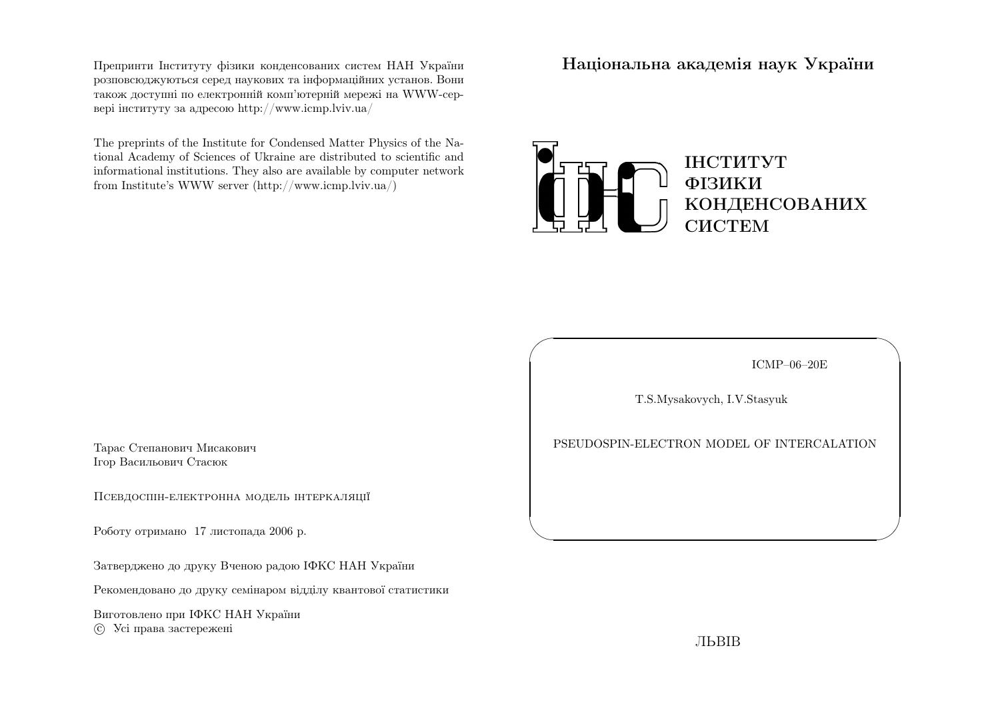Препринти Iнституту фiзики конденсованих систем НАН України розповсюджуються серед наукових та iнформацiйних установ. Вони також доступн<sup>i</sup> по електроннiй комп'ютернiй мереж<sup>i</sup> на WWW-сервер<sup>i</sup> iнституту за адресою http://www.icmp.lviv.ua/

The preprints of the Institute for Condensed Matter Physics of the National Academy of Sciences of Ukraine are distributed to scientific and informational institutions. They also are available by computer networkfrom Institute's WWW server (http://www.icmp.lviv.ua/)

Нацiональна академiя наук України



ICMP–06–20E

✩

 $\mathcal{S}$ 

T.S.Mysakovych, I.V.Stasyuk

 $\sqrt{2}$ 

 $\setminus$ 

PSEUDOSPIN-ELECTRON MODEL OF INTERCALATION

Тарас Степанович МисаковичIгор Васильович Стасюк

Псевдоспiн-електронна модель iнтеркаляцiї

Роботу отримано <sup>17</sup> листопада <sup>2006</sup> р.

Затверджено до друку Вченою радою IФКС НАН України

Рекомендовано до друку семiнаром вiддiлу квантової статистики

Виготовлено при IФКС НАН Україниc Усi права застережен<sup>i</sup>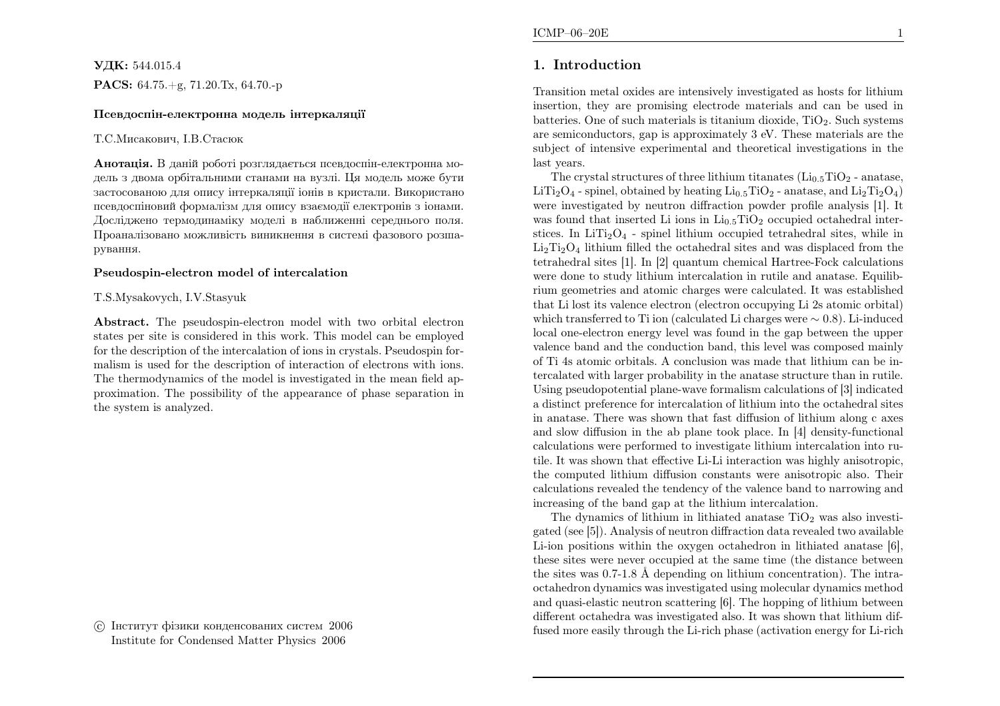$\rm{V\!/\!\!\!K\!}$ : 544.015.4  $\mathbf{PACS:} \ 64.75.+g, \ 71.20.\text{Tx}, \ 64.70.-p$ 

#### Псевдоспiн-електронна модель iнтеркаляцiї

#### Т.С.Мисакович, I.В.Стасюк

**Анотація.** В даній роботі розглядається псевдоспін-електронна модель <sup>з</sup> двома орбiтальними станами на вузлi. Ця модель може бути застосованою для опису iнтеркаляцiї iонiв <sup>в</sup> кристали. Використано псевдоспiновий формалiзм для опису взаємодiї електронiв <sup>з</sup> iонами. Дослiджено термодинамiку моделi <sup>в</sup> наближеннi середнього поля. Проаналiзовано можливiсть виникнення <sup>в</sup> системi фазового розшарування.

#### Pseudospin-electron model of intercalation

#### T.S.Mysakovych, I.V.Stasyuk

Abstract. The pseudospin-electron model with two orbital electron states per site is considered in this work. This model can be employed for the description of the intercalation of ions in crystals. Pseudospin formalism is used for the description of interaction of electrons with ions. The thermodynamics of the model is investigated in the mean field approximation. The possibility of the appearance of <sup>p</sup>hase separation inthe system is analyzed.

 c Iнститут фiзики конденсованих систем <sup>2006</sup>Institute for Condensed Matter Physics <sup>2006</sup>

# 1. Introduction

Transition metal oxides are intensively investigated as hosts for lithium insertion, they are promising electrode materials and can be used inbatteries. One of such materials is titanium dioxide,  $TiO<sub>2</sub>$ . Such systems are semiconductors, gap is approximately <sup>3</sup> eV. These materials are the subject of intensive experimental and theoretical investigations in thelast years.

The crystal structures of three lithium titanates  $(Li_{0.5}TiO_2$  - anatase, LiTi<sub>2</sub>O<sub>4</sub> - spinel, obtained by heating Li<sub>0.5</sub>TiO<sub>2</sub> - anatase, and Li<sub>2</sub>Ti<sub>2</sub>O<sub>4</sub>) were investigated by neutron diffraction powder profile analysis [1]. Itwas found that inserted Li ions in  $Li_{0.5}TiO_2$  occupied octahedral interstices. In  $LiTi<sub>2</sub>O<sub>4</sub>$  - spinel lithium occupied tetrahedral sites, while in  $\text{Li}_2\text{Ti}_2\text{O}_4$  lithium filled the octahedral sites and was displaced from the tetrahedral sites [1]. In [2] quantum chemical Hartree-Fock calculations were done to study lithium intercalation in rutile and anatase. Equilibrium geometries and atomic charges were calculated. It was established that Li lost its valence electron (electron occupying Li 2s atomic orbital) which transferred to Ti ion (calculated Li charges were∼ <sup>0</sup>.<sup>8</sup>). Li-induced local one-electron energy level was found in the gap between the upper valence band and the conduction band, this level was composed mainly of Ti 4s atomic orbitals. <sup>A</sup> conclusion was made that lithium can be intercalated with larger probability in the anatase structure than in rutile. Using pseudopotential <sup>p</sup>lane-wave formalism calculations of [3] indicated <sup>a</sup> distinct preference for intercalation of lithium into the octahedral sites in anatase. There was shown that fast diffusion of lithium along <sup>c</sup> axes and slow diffusion in the ab <sup>p</sup>lane took <sup>p</sup>lace. In [4] density-functional calculations were performed to investigate lithium intercalation into rutile. It was shown that effective Li-Li interaction was highly anisotropic, the computed lithium diffusion constants were anisotropic also. Their calculations revealed the tendency of the valence band to narrowing andincreasing of the band gap at the lithium intercalation.

The dynamics of lithium in lithiated anatase  $TiO<sub>2</sub>$  was also investigated (see [5]). Analysis of neutron diffraction data revealed two available Li-ion positions within the oxygen octahedron in lithiated anatase [6], these sites were never occupied at the same time (the distance betweenthe sites was  $0.7-1.8$  Å depending on lithium concentration). The intraoctahedron dynamics was investigated using molecular dynamics method and quasi-elastic neutron scattering [6]. The hopping of lithium between different octahedra was investigated also. It was shown that lithium diffused more easily through the Li-rich <sup>p</sup>hase (activation energy for Li-rich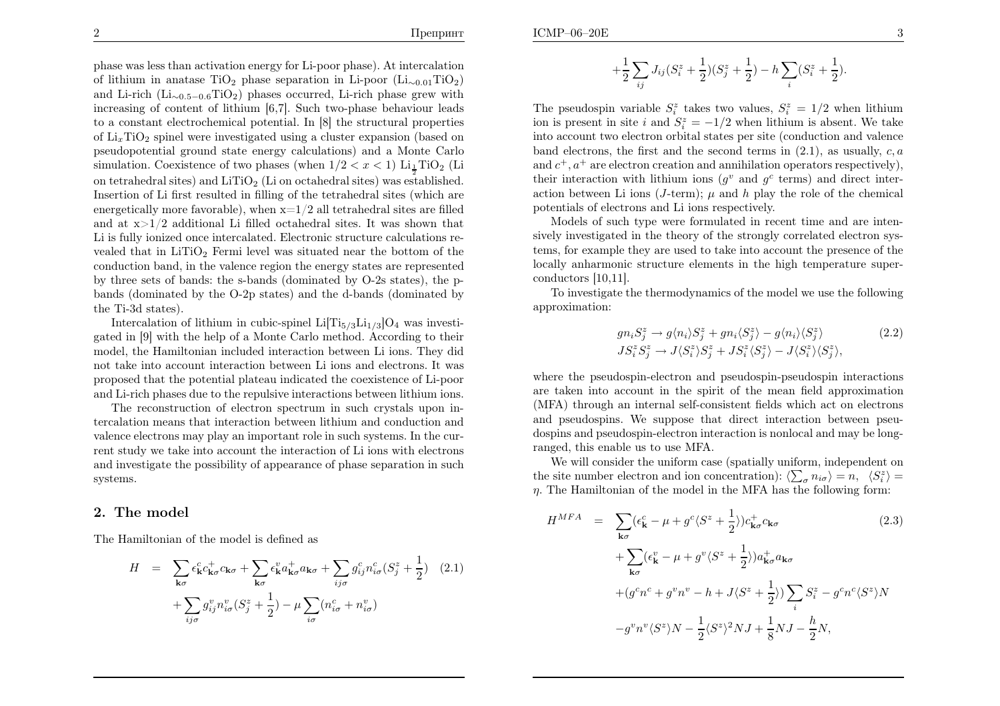ICMP–06–20E

<sup>p</sup>hase was less than activation energy for Li-poor <sup>p</sup>hase). At intercalationof lithium in anatase  $TiO_2$  phase separation in Li-poor  $(Li_{\sim 0.01}TiO_2)$ and Li-rich  $(Li_{0.5-0.6}TiO_2)$  phases occurred, Li-rich phase grew with increasing of content of lithium [6,7]. Such two-phase behaviour leads to <sup>a</sup> constant electrochemical potential. In [8] the structural propertiesof  $\text{Li}_x \text{TiO}_2$  spinel were investigated using a cluster expansion (based on pseudopotential ground state energy calculations) and <sup>a</sup> Monte Carlosimulation. Coexistence of two phases (when  $1/2 < x < 1$ )  $\text{Li}_{\frac{1}{2}} \text{TiO}_2$  (Li on tetrahedral sites) and  $LiTiO<sub>2</sub>$  (Li on octahedral sites) was established. Insertion of Li first resulted in filling of the tetrahedral sites (which areenergetically more favorable), when  $x=1/2$  all tetrahedral sites are filled and at  $x>1/2$  additional Li filled octahedral sites. It was shown that Li is fully ionized once intercalated. Electronic structure calculations revealed that in  $LiTiO<sub>2</sub>$  Fermi level was situated near the bottom of the conduction band, in the valence region the energy states are represented by three sets of bands: the s-bands (dominated by O-2s states), the pbands (dominated by the O-2p states) and the d-bands (dominated by

Intercalation of lithium in cubic-spinel Li $[Ti_{5/3}Li_{1/3}]O_4$  was investigated in [9] with the help of <sup>a</sup> Monte Carlo method. According to their model, the Hamiltonian included interaction between Li ions. They did not take into account interaction between Li ions and electrons. It was proposed that the potential <sup>p</sup>lateau indicated the coexistence of Li-poorand Li-rich <sup>p</sup>hases due to the repulsive interactions between lithium ions.

The reconstruction of electron spectrum in such crystals upon intercalation means that interaction between lithium and conduction and valence electrons may <sup>p</sup>lay an important role in such systems. In the current study we take into account the interaction of Li ions with electrons and investigate the possibility of appearance of <sup>p</sup>hase separation in suchsystems.

# 2. The model

the Ti-3d states).

The Hamiltonian of the model is defined as

$$
H = \sum_{\mathbf{k}\sigma} \epsilon_{\mathbf{k}}^c c_{\mathbf{k}\sigma}^+ c_{\mathbf{k}\sigma} + \sum_{\mathbf{k}\sigma} \epsilon_{\mathbf{k}}^v a_{\mathbf{k}\sigma}^+ a_{\mathbf{k}\sigma} + \sum_{ij\sigma} g_{ij}^c n_{i\sigma}^c (S_j^z + \frac{1}{2}) \quad (2.1)
$$

$$
+ \sum_{ij\sigma} g_{ij}^v n_{i\sigma}^v (S_j^z + \frac{1}{2}) - \mu \sum_{i\sigma} (n_{i\sigma}^c + n_{i\sigma}^v)
$$

$$
+\frac{1}{2}\sum_{ij}J_{ij}(S_i^z+\frac{1}{2})(S_j^z+\frac{1}{2})-h\sum_i(S_i^z+\frac{1}{2}).
$$

The pseudospin variable  $S_i^z$  takes two values,  $S_i^z = 1/2$  when lithium ion is present in site i and  $S_i^z = -1/2$  when lithium is absent. We take into account two electron orbital states per site (conduction and valenceband electrons, the first and the second terms in  $(2.1)$ , as usually,  $c, a$ and  $c^+, a^+$  are electron creation and annihilation operators respectively), their interaction with lithium ions  $(g^v \text{ and } g^c \text{ terms})$  and direct interaction between Li ions (*J*-term);  $\mu$  and  $h$  play the role of the chemical potentials of electrons and Li ions respectively.

Models of such type were formulated in recent time and are intensively investigated in the theory of the strongly correlated electron systems, for example they are used to take into account the presence of the locally anharmonic structure elements in the high temperature superconductors [10,11].

To investigate the thermodynamics of the model we use the followingapproximation:

$$
gn_i S_j^z \to g \langle n_i \rangle S_j^z + gn_i \langle S_j^z \rangle - g \langle n_i \rangle \langle S_j^z \rangle \tag{2.2}
$$
  
\n
$$
JS_i^z S_j^z \to J \langle S_i^z \rangle S_j^z + JS_i^z \langle S_j^z \rangle - J \langle S_i^z \rangle \langle S_j^z \rangle,
$$

where the pseudospin-electron and pseudospin-pseudospin interactions are taken into account in the spirit of the mean field approximation (MFA) through an internal self-consistent fields which act on electrons and pseudospins. We suppose that direct interaction between pseudospins and pseudospin-electron interaction is nonlocal and may be longranged, this enable us to use MFA.

We will consider the uniform case (spatially uniform, independent onthe site number electron and ion concentration):  $\langle \sum_{\sigma} n_{i\sigma} \rangle = n, \langle S_i^z \rangle =$  $\eta$ . The Hamiltonian of the model in the MFA has the following form:

$$
H^{MFA} = \sum_{\mathbf{k}\sigma} (\epsilon_{\mathbf{k}}^c - \mu + g^c \langle S^z + \frac{1}{2} \rangle) c_{\mathbf{k}\sigma}^+ c_{\mathbf{k}\sigma}
$$
 (2.3)  
+ 
$$
\sum_{\mathbf{k}\sigma} (\epsilon_{\mathbf{k}}^v - \mu + g^v \langle S^z + \frac{1}{2} \rangle) a_{\mathbf{k}\sigma}^+ a_{\mathbf{k}\sigma}
$$
  
+ 
$$
(g^c n^c + g^v n^v - h + J \langle S^z + \frac{1}{2} \rangle) \sum_i S_i^z - g^c n^c \langle S^z \rangle N
$$
  
- 
$$
g^v n^v \langle S^z \rangle N - \frac{1}{2} \langle S^z \rangle^2 N J + \frac{1}{8} N J - \frac{h}{2} N,
$$
 (2.3)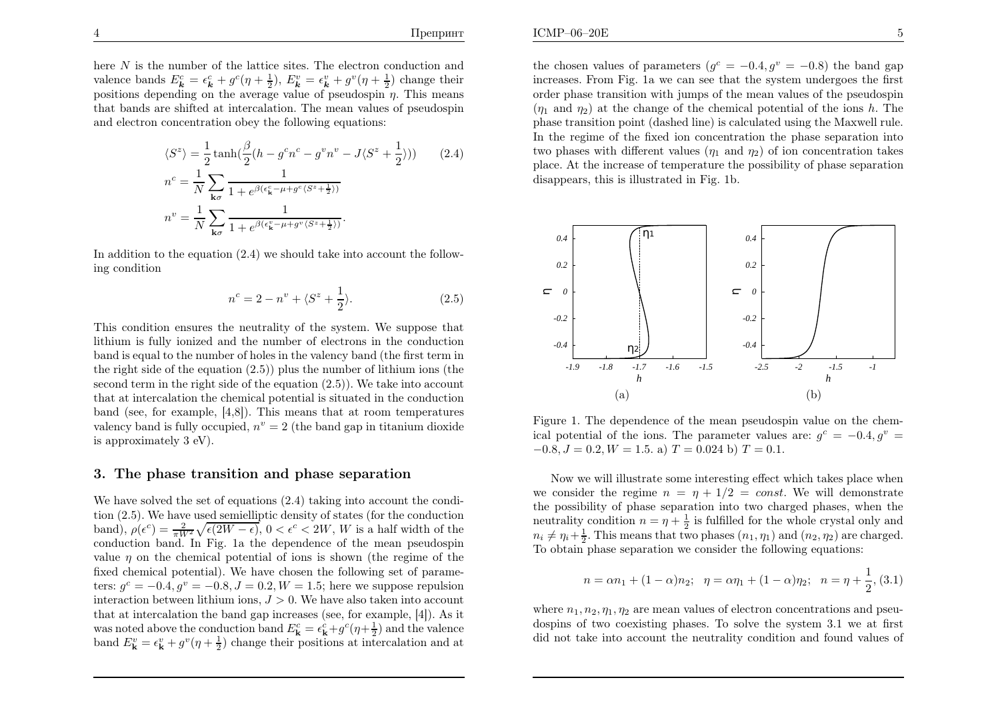here N is the number of the lattice sites. The electron conduction and valence bands  $E_{\mathbf{k}}^c = \epsilon_{\mathbf{k}}^c + g^c(\eta + \frac{1}{2}), E_{\mathbf{k}}^v = \epsilon_{\mathbf{k}}^v + g^v(\eta + \frac{1}{2})$  change their positions depending on the average value of pseudospin  $\eta$ . This means that bands are shifted at intercalation. The mean values of pseudospinand electron concentration obey the following equations:

$$
\langle S^z \rangle = \frac{1}{2} \tanh\left(\frac{\beta}{2}(h - g^c n^c - g^v n^v - J\langle S^z + \frac{1}{2} \rangle)\right) \qquad (2.4)
$$
  

$$
n^c = \frac{1}{N} \sum_{\mathbf{k}\sigma} \frac{1}{1 + e^{\beta(\epsilon_{\mathbf{k}}^c - \mu + g^c \langle S^z + \frac{1}{2} \rangle)}}
$$
  

$$
n^v = \frac{1}{N} \sum_{\mathbf{k}\sigma} \frac{1}{1 + e^{\beta(\epsilon_{\mathbf{k}}^v - \mu + g^v \langle S^z + \frac{1}{2} \rangle)}}.
$$

In addition to the equation (2.4) we should take into account the following condition

$$
n^{c} = 2 - n^{v} + \langle S^{z} + \frac{1}{2} \rangle.
$$
 (2.5)

This condition ensures the neutrality of the system. We suppose that lithium is fully ionized and the number of electrons in the conduction band is equa<sup>l</sup> to the number of holes in the valency band (the first term in the right side of the equation (2.5)) <sup>p</sup>lus the number of lithium ions (the second term in the right side of the equation (2.5)). We take into account that at intercalation the chemical potential is situated in the conduction band (see, for example, [4,8]). This means that at room temperaturesvalency band is fully occupied,  $n^v = 2$  (the band gap in titanium dioxide is approximately <sup>3</sup> eV).

### 3. The <sup>p</sup>hase transition and <sup>p</sup>hase separation

We have solved the set of equations (2.4) taking into account the condition (2.5). We have used semielliptic density of states (for the conductionband),  $\rho(\epsilon^c) = \frac{2}{\pi W^2} \sqrt{\epsilon(2W - \epsilon)}, 0 < \epsilon^c < 2W, W$  is a half width of the conduction band. In Fig. 1a, the dependence of the mean pseudospin conduction band. In Fig. 1a the dependence of the mean pseudospinvalue  $\eta$  on the chemical potential of ions is shown (the regime of the fixed chemical potential). We have chosen the following set of parameters:  $g^c = -0.4$ ,  $g^v = -0.8$ ,  $J = 0.2$ ,  $W = 1.5$ ; here we suppose repulsion<br>interaction between lithium jons.  $I > 0$ , We have also taken into account interaction between lithium ions,  $J > 0$ . We have also taken into account that at intercalation the band gap increases (see, for example, [4]). As itwas noted above the conduction band  $E_{\mathbf{k}}^c = \epsilon_{\mathbf{k}}^c + g^c(\eta + \frac{1}{2})$  and the valence band  $E_{\mathbf{k}}^v = \epsilon_{\mathbf{k}}^v + g^v(\eta + \frac{1}{2})$  change their positions at intercalation and at

the chosen values of parameters  $(g<sup>c</sup> = -0.4, g<sup>v</sup> = -0.8)$  the band gap increases. From Fig. 1a we can see that the system undergoes the first order <sup>p</sup>hase transition with jumps of the mean values of the pseudospin $(\eta_1 \text{ and } \eta_2)$  at the change of the chemical potential of the ions h. The <sup>p</sup>hase transition point (dashed line) is calculated using the Maxwell rule. In the regime of the fixed ion concentration the <sup>p</sup>hase separation intotwo phases with different values  $(\eta_1 \text{ and } \eta_2)$  of ion concentration takes <sup>p</sup>lace. At the increase of temperature the possibility of <sup>p</sup>hase separationdisappears, this is illustrated in Fig. 1b.



Figure 1. The dependence of the mean pseudospin value on the chemical potential of the ions. The parameter values are:  $g^c = -0.4, g^v =$  $-0.8, J = 0.2, W = 1.5$ . a)  $T = 0.024$  b)  $T = 0.1$ .

Now we will illustrate some interesting effect which takes <sup>p</sup>lace whenwe consider the regime  $n = \eta + 1/2 = const.$  We will demonstrate the possibility of <sup>p</sup>hase separation into two charged <sup>p</sup>hases, when theneutrality condition  $n = \eta + \frac{1}{2}$  is fulfilled for the whole crystal only and  $n_i \neq \eta_i + \frac{1}{2}$ . This means that two phases  $(n_1, \eta_1)$  and  $(n_2, \eta_2)$  are charged. To obtain <sup>p</sup>hase separation we consider the following equations:

$$
n = \alpha n_1 + (1 - \alpha)n_2; \ \ \eta = \alpha \eta_1 + (1 - \alpha)\eta_2; \ \ n = \eta + \frac{1}{2}, (3.1)
$$

where  $n_1, n_2, \eta_1, \eta_2$  are mean values of electron concentrations and pseu dospins of two coexisting <sup>p</sup>hases. To solve the system 3.1 we at firstdid not take into account the neutrality condition and found values of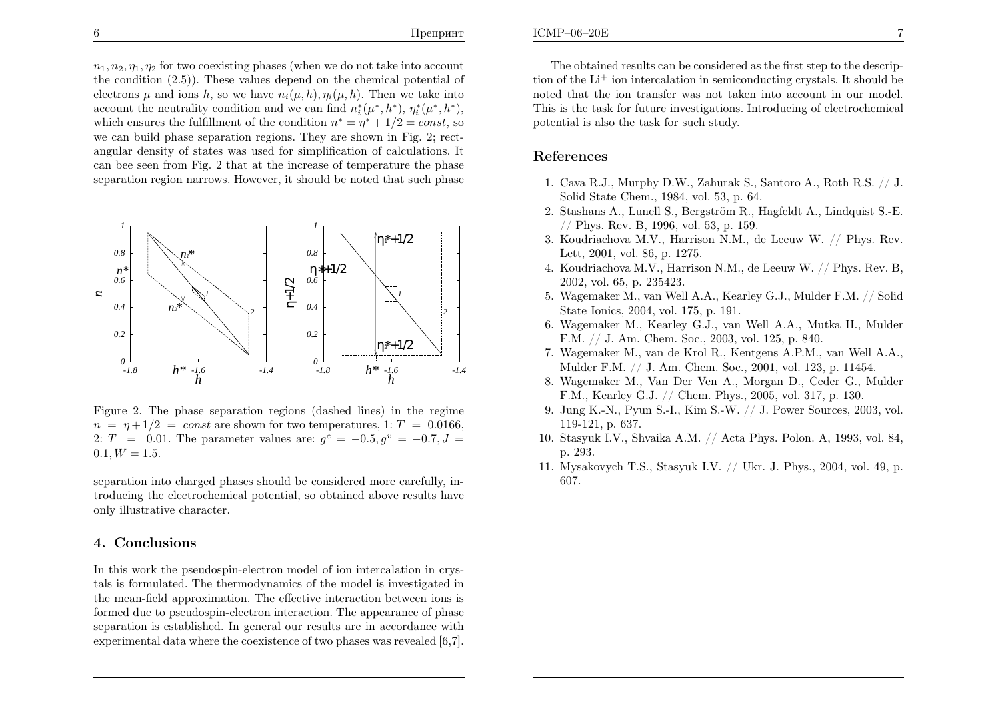$n_1, n_2, \eta_1, \eta_2$  for two coexisting phases (when we do not take into account the condition (2.5)). These values depend on the chemical potential of electrons  $\mu$  and ions h, so we have  $n_i(\mu, h), \eta_i(\mu, h)$ . Then we take into account the neutrality condition and we can find  $n_i^*(\mu^*, h^*)$ ,  $\eta_i^*(\mu^*, h^*)$ , which ensures the fulfillment of the condition  $n^* = \eta^* + 1/2 = const$ , so we can build <sup>p</sup>hase separation regions. They are shown in Fig. 2; rectangular density of states was used for simplification of calculations. It can bee seen from Fig. <sup>2</sup> that at the increase of temperature the <sup>p</sup>haseseparation region narrows. However, it should be noted that such <sup>p</sup>hase



Figure 2. The <sup>p</sup>hase separation regions (dashed lines) in the regime  $n = \eta + 1/2 = const$  are shown for two temperatures, 1:  $T = 0.0166$ , 2:  $T = 0.01$ . The parameter values are:  $g^{c} = -0.5, g^{v} = -0.7, J =$  $0.1, W = 1.5.$ 

separation into charged <sup>p</sup>hases should be considered more carefully, introducing the electrochemical potential, so obtained above results haveonly illustrative character.

# 4. Conclusions

In this work the pseudospin-electron model of ion intercalation in crystals is formulated. The thermodynamics of the model is investigated in the mean-field approximation. The effective interaction between ions is formed due to pseudospin-electron interaction. The appearance of <sup>p</sup>hase separation is established. In genera<sup>l</sup> our results are in accordance withexperimental data where the coexistence of two <sup>p</sup>hases was revealed [6,7].

The obtained results can be considered as the first step to the description of the  $Li^+$  ion intercalation in semiconducting crystals. It should be noted that the ion transfer was not taken into account in our model. This is the task for future investigations. Introducing of electrochemical potential is also the task for such study.

## References

- 1. Cava R.J., Murphy D.W., Zahurak S., Santoro A., Roth R.S. // J. Solid State Chem., 1984, vol. 53, p. 64.
- 2. Stashans A., Lunell S., Bergström R., Hagfeldt A., Lindquist S.-E. // Phys. Rev. B, 1996, vol. 53, p. 159.
- 3. Koudriachova M.V., Harrison N.M., de Leeuw W. // Phys. Rev. Lett, 2001, vol. 86, p. 1275.
- 4. Koudriachova M.V., Harrison N.M., de Leeuw W. // Phys. Rev. B, 2002, vol. 65, p. 235423.
- 5. Wagemaker M., van Well A.A., Kearley G.J., Mulder F.M. // SolidState Ionics, 2004, vol. 175, p. 191.
- 6. Wagemaker M., Kearley G.J., van Well A.A., Mutka H., MulderF.M. // J. Am. Chem. Soc., 2003, vol. 125, p. 840.
- 7. Wagemaker M., van de Krol R., Kentgens A.P.M., van Well A.A., Mulder F.M. // J. Am. Chem. Soc., 2001, vol. 123, p. 11454.
- 8. Wagemaker M., Van Der Ven A., Morgan D., Ceder G., MulderF.M., Kearley G.J. // Chem. Phys., 2005, vol. 317, p. 130.
- 9. Jung K.-N., Pyun S.-I., Kim S.-W. // J. Power Sources, 2003, vol. 119-121, p. 637.
- 10. Stasyuk I.V., Shvaika A.M. // Acta Phys. Polon. A, 1993, vol. 84, p. 293.
- 11. Mysakovych T.S., Stasyuk I.V. // Ukr. J. Phys., 2004, vol. 49, p. 607.